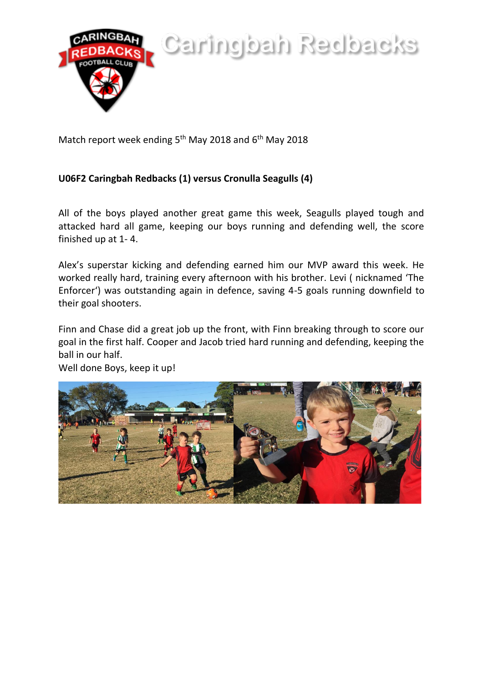

Caringbah Redbacks

Match report week ending 5<sup>th</sup> May 2018 and 6<sup>th</sup> May 2018

## **U06F2 Caringbah Redbacks (1) versus Cronulla Seagulls (4)**

All of the boys played another great game this week, Seagulls played tough and attacked hard all game, keeping our boys running and defending well, the score finished up at 1- 4.

Alex's superstar kicking and defending earned him our MVP award this week. He worked really hard, training every afternoon with his brother. Levi ( nicknamed 'The Enforcer') was outstanding again in defence, saving 4-5 goals running downfield to their goal shooters.

Finn and Chase did a great job up the front, with Finn breaking through to score our goal in the first half. Cooper and Jacob tried hard running and defending, keeping the ball in our half.

Well done Boys, keep it up!